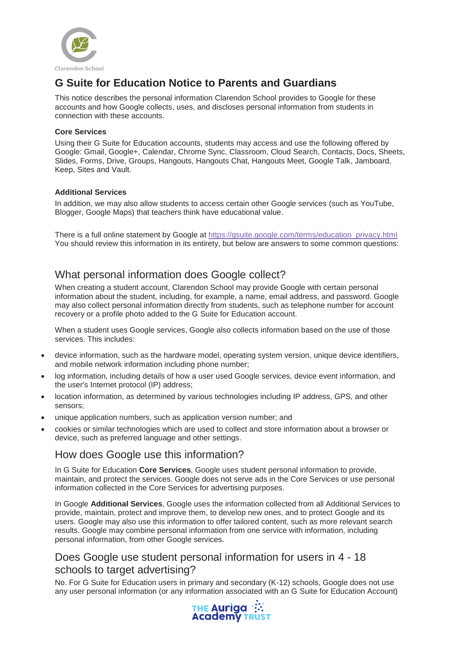

# **G Suite for Education Notice to Parents and Guardians**

This notice describes the personal information Clarendon School provides to Google for these accounts and how Google collects, uses, and discloses personal information from students in connection with these accounts.

#### **Core Services**

Using their G Suite for Education accounts, students may access and use the following offered by Google: Gmail, Google+, Calendar, Chrome Sync, Classroom, Cloud Search, Contacts, Docs, Sheets, Slides, Forms, Drive, Groups, Hangouts, Hangouts Chat, Hangouts Meet, Google Talk, Jamboard, Keep, Sites and Vault.

#### **Additional Services**

In addition, we may also allow students to access certain other Google services (such as YouTube, Blogger, Google Maps) that teachers think have educational value.

There is a full online statement by Google at [https://gsuite.google.com/terms/education\\_privacy.html](https://gsuite.google.com/terms/education_privacy.html) You should review this information in its entirety, but below are answers to some common questions:

# What personal information does Google collect?

When creating a student account, Clarendon School may provide Google with certain personal information about the student, including, for example, a name, email address, and password. Google may also collect personal information directly from students, such as telephone number for account recovery or a profile photo added to the G Suite for Education account.

When a student uses Google services, Google also collects information based on the use of those services. This includes:

- device information, such as the hardware model, operating system version, unique device identifiers, and mobile network information including phone number;
- log information, including details of how a user used Google services, device event information, and the user's Internet protocol (IP) address;
- location information, as determined by various technologies including IP address, GPS, and other sensors;
- unique application numbers, such as application version number; and
- cookies or similar technologies which are used to collect and store information about a browser or device, such as preferred language and other settings.

# How does Google use this information?

In G Suite for Education **Core Services**, Google uses student personal information to provide, maintain, and protect the services. Google does not serve ads in the Core Services or use personal information collected in the Core Services for advertising purposes.

In Google **Additional Services**, Google uses the information collected from all Additional Services to provide, maintain, protect and improve them, to develop new ones, and to protect Google and its users. Google may also use this information to offer tailored content, such as more relevant search results. Google may combine personal information from one service with information, including personal information, from other Google services.

### Does Google use student personal information for users in 4 - 18 schools to target advertising?

No. For G Suite for Education users in primary and secondary (K-12) schools, Google does not use any user personal information (or any information associated with an G Suite for Education Account)